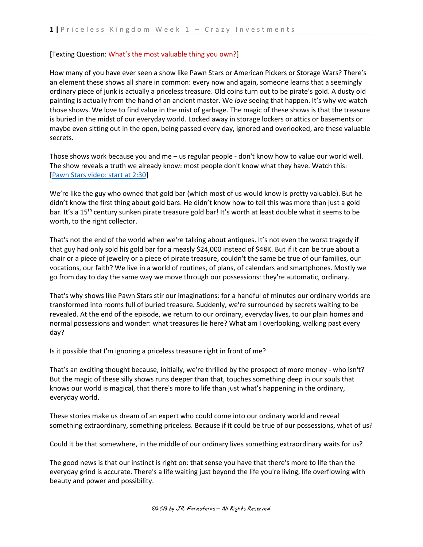#### [Texting Question: What's the most valuable thing you own?]

How many of you have ever seen a show like Pawn Stars or American Pickers or Storage Wars? There's an element these shows all share in common: every now and again, someone learns that a seemingly ordinary piece of junk is actually a priceless treasure. Old coins turn out to be pirate's gold. A dusty old painting is actually from the hand of an ancient master. We *love* seeing that happen. It's why we watch those shows. We love to find value in the mist of garbage. The magic of these shows is that the treasure is buried in the midst of our everyday world. Locked away in storage lockers or attics or basements or maybe even sitting out in the open, being passed every day, ignored and overlooked, are these valuable secrets.

Those shows work because you and me – us regular people - don't know how to value our world well. The show reveals a truth we already know: most people don't know what they have. Watch this: [\[Pawn Stars video: start at 2:30\]](https://www.youtube.com/watch?v=AiIHvQovKkk)

We're like the guy who owned that gold bar (which most of us would know is pretty valuable). But he didn't know the first thing about gold bars. He didn't know how to tell this was more than just a gold bar. It's a 15<sup>th</sup> century sunken pirate treasure gold bar! It's worth at least double what it seems to be worth, to the right collector.

That's not the end of the world when we're talking about antiques. It's not even the worst tragedy if that guy had only sold his gold bar for a measly \$24,000 instead of \$48K. But if it can be true about a chair or a piece of jewelry or a piece of pirate treasure, couldn't the same be true of our families, our vocations, our faith? We live in a world of routines, of plans, of calendars and smartphones. Mostly we go from day to day the same way we move through our possessions: they're automatic, ordinary.

That's why shows like Pawn Stars stir our imaginations: for a handful of minutes our ordinary worlds are transformed into rooms full of buried treasure. Suddenly, we're surrounded by secrets waiting to be revealed. At the end of the episode, we return to our ordinary, everyday lives, to our plain homes and normal possessions and wonder: what treasures lie here? What am I overlooking, walking past every day?

Is it possible that I'm ignoring a priceless treasure right in front of me?

That's an exciting thought because, initially, we're thrilled by the prospect of more money - who isn't? But the magic of these silly shows runs deeper than that, touches something deep in our souls that knows our world is magical, that there's more to life than just what's happening in the ordinary, everyday world.

These stories make us dream of an expert who could come into our ordinary world and reveal something extraordinary, something priceless. Because if it could be true of our possessions, what of us?

Could it be that somewhere, in the middle of our ordinary lives something extraordinary waits for us?

The good news is that our instinct is right on: that sense you have that there's more to life than the everyday grind is accurate. There's a life waiting just beyond the life you're living, life overflowing with beauty and power and possibility.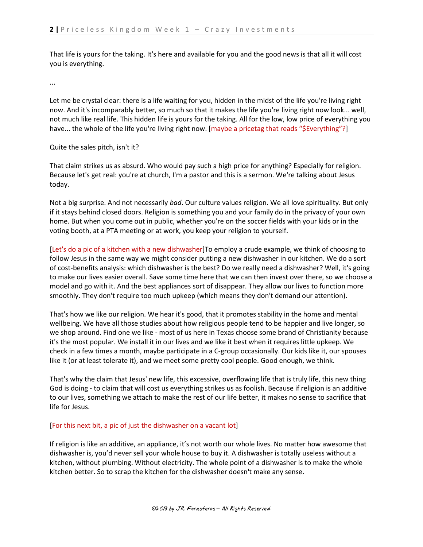That life is yours for the taking. It's here and available for you and the good news is that all it will cost you is everything.

...

Let me be crystal clear: there is a life waiting for you, hidden in the midst of the life you're living right now. And it's incomparably better, so much so that it makes the life you're living right now look... well, not much like real life. This hidden life is yours for the taking. All for the low, low price of everything you have... the whole of the life you're living right now. [maybe a pricetag that reads "\$Everything"?]

# Quite the sales pitch, isn't it?

That claim strikes us as absurd. Who would pay such a high price for anything? Especially for religion. Because let's get real: you're at church, I'm a pastor and this is a sermon. We're talking about Jesus today.

Not a big surprise. And not necessarily *bad*. Our culture values religion. We all love spirituality. But only if it stays behind closed doors. Religion is something you and your family do in the privacy of your own home. But when you come out in public, whether you're on the soccer fields with your kids or in the voting booth, at a PTA meeting or at work, you keep your religion to yourself.

[Let's do a pic of a kitchen with a new dishwasher]To employ a crude example, we think of choosing to follow Jesus in the same way we might consider putting a new dishwasher in our kitchen. We do a sort of cost-benefits analysis: which dishwasher is the best? Do we really need a dishwasher? Well, it's going to make our lives easier overall. Save some time here that we can then invest over there, so we choose a model and go with it. And the best appliances sort of disappear. They allow our lives to function more smoothly. They don't require too much upkeep (which means they don't demand our attention).

That's how we like our religion. We hear it's good, that it promotes stability in the home and mental wellbeing. We have all those studies about how religious people tend to be happier and live longer, so we shop around. Find one we like - most of us here in Texas choose some brand of Christianity because it's the most popular. We install it in our lives and we like it best when it requires little upkeep. We check in a few times a month, maybe participate in a C-group occasionally. Our kids like it, our spouses like it (or at least tolerate it), and we meet some pretty cool people. Good enough, we think.

That's why the claim that Jesus' new life, this excessive, overflowing life that is truly life, this new thing God is doing - to claim that will cost us everything strikes us as foolish. Because if religion is an additive to our lives, something we attach to make the rest of our life better, it makes no sense to sacrifice that life for Jesus.

# [For this next bit, a pic of just the dishwasher on a vacant lot]

If religion is like an additive, an appliance, it's not worth our whole lives. No matter how awesome that dishwasher is, you'd never sell your whole house to buy it. A dishwasher is totally useless without a kitchen, without plumbing. Without electricity. The whole point of a dishwasher is to make the whole kitchen better. So to scrap the kitchen for the dishwasher doesn't make any sense.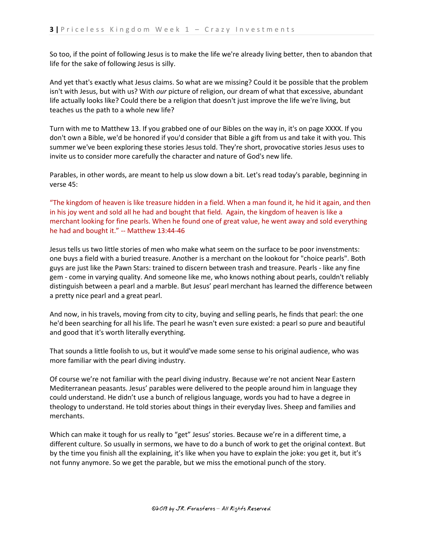So too, if the point of following Jesus is to make the life we're already living better, then to abandon that life for the sake of following Jesus is silly.

And yet that's exactly what Jesus claims. So what are we missing? Could it be possible that the problem isn't with Jesus, but with us? With *our* picture of religion, our dream of what that excessive, abundant life actually looks like? Could there be a religion that doesn't just improve the life we're living, but teaches us the path to a whole new life?

Turn with me to Matthew 13. If you grabbed one of our Bibles on the way in, it's on page XXXX. If you don't own a Bible, we'd be honored if you'd consider that Bible a gift from us and take it with you. This summer we've been exploring these stories Jesus told. They're short, provocative stories Jesus uses to invite us to consider more carefully the character and nature of God's new life.

Parables, in other words, are meant to help us slow down a bit. Let's read today's parable, beginning in verse 45:

"The kingdom of heaven is like treasure hidden in a field. When a man found it, he hid it again, and then in his joy went and sold all he had and bought that field. Again, the kingdom of heaven is like a merchant looking for fine pearls. When he found one of great value, he went away and sold everything he had and bought it." -- Matthew 13:44-46

Jesus tells us two little stories of men who make what seem on the surface to be poor invenstments: one buys a field with a buried treasure. Another is a merchant on the lookout for "choice pearls". Both guys are just like the Pawn Stars: trained to discern between trash and treasure. Pearls - like any fine gem - come in varying quality. And someone like me, who knows nothing about pearls, couldn't reliably distinguish between a pearl and a marble. But Jesus' pearl merchant has learned the difference between a pretty nice pearl and a great pearl.

And now, in his travels, moving from city to city, buying and selling pearls, he finds that pearl: the one he'd been searching for all his life. The pearl he wasn't even sure existed: a pearl so pure and beautiful and good that it's worth literally everything.

That sounds a little foolish to us, but it would've made some sense to his original audience, who was more familiar with the pearl diving industry.

Of course we're not familiar with the pearl diving industry. Because we're not ancient Near Eastern Mediterranean peasants. Jesus' parables were delivered to the people around him in language they could understand. He didn't use a bunch of religious language, words you had to have a degree in theology to understand. He told stories about things in their everyday lives. Sheep and families and merchants.

Which can make it tough for us really to "get" Jesus' stories. Because we're in a different time, a different culture. So usually in sermons, we have to do a bunch of work to get the original context. But by the time you finish all the explaining, it's like when you have to explain the joke: you get it, but it's not funny anymore. So we get the parable, but we miss the emotional punch of the story.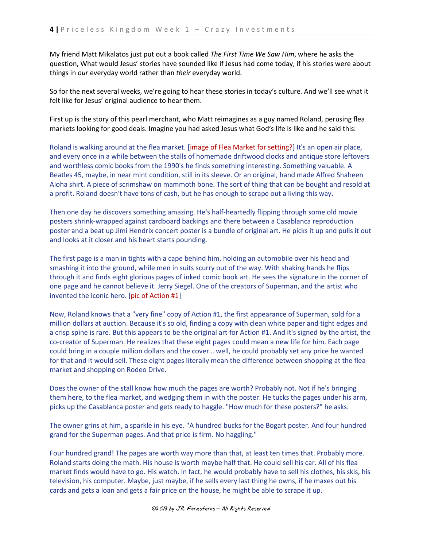My friend Matt Mikalatos just put out a book called *The First Time We Saw Him*, where he asks the question, What would Jesus' stories have sounded like if Jesus had come today, if his stories were about things in *our* everyday world rather than *their* everyday world.

So for the next several weeks, we're going to hear these stories in today's culture. And we'll see what it felt like for Jesus' original audience to hear them.

First up is the story of this pearl merchant, who Matt reimagines as a guy named Roland, perusing flea markets looking for good deals. Imagine you had asked Jesus what God's life is like and he said this:

Roland is walking around at the flea market. [image of Flea Market for setting?] It's an open air place, and every once in a while between the stalls of homemade driftwood clocks and antique store leftovers and worthless comic books from the 1990's he finds something interesting. Something valuable. A Beatles 45, maybe, in near mint condition, still in its sleeve. Or an original, hand made Alfred Shaheen Aloha shirt. A piece of scrimshaw on mammoth bone. The sort of thing that can be bought and resold at a profit. Roland doesn't have tons of cash, but he has enough to scrape out a living this way.

Then one day he discovers something amazing. He's half-heartedly flipping through some old movie posters shrink-wrapped against cardboard backings and there between a Casablanca reproduction poster and a beat up Jimi Hendrix concert poster is a bundle of original art. He picks it up and pulls it out and looks at it closer and his heart starts pounding.

The first page is a man in tights with a cape behind him, holding an automobile over his head and smashing it into the ground, while men in suits scurry out of the way. With shaking hands he flips through it and finds eight glorious pages of inked comic book art. He sees the signature in the corner of one page and he cannot believe it. Jerry Siegel. One of the creators of Superman, and the artist who invented the iconic hero. [pic of Action #1]

Now, Roland knows that a "very fine" copy of Action #1, the first appearance of Superman, sold for a million dollars at auction. Because it's so old, finding a copy with clean white paper and tight edges and a crisp spine is rare. But this appears to be the original art for Action #1. And it's signed by the artist, the co-creator of Superman. He realizes that these eight pages could mean a new life for him. Each page could bring in a couple million dollars and the cover… well, he could probably set any price he wanted for that and it would sell. These eight pages literally mean the difference between shopping at the flea market and shopping on Rodeo Drive.

Does the owner of the stall know how much the pages are worth? Probably not. Not if he's bringing them here, to the flea market, and wedging them in with the poster. He tucks the pages under his arm, picks up the Casablanca poster and gets ready to haggle. "How much for these posters?" he asks.

The owner grins at him, a sparkle in his eye. "A hundred bucks for the Bogart poster. And four hundred grand for the Superman pages. And that price is firm. No haggling."

Four hundred grand! The pages are worth way more than that, at least ten times that. Probably more. Roland starts doing the math. His house is worth maybe half that. He could sell his car. All of his flea market finds would have to go. His watch. In fact, he would probably have to sell his clothes, his skis, his television, his computer. Maybe, just maybe, if he sells every last thing he owns, if he maxes out his cards and gets a loan and gets a fair price on the house, he might be able to scrape it up.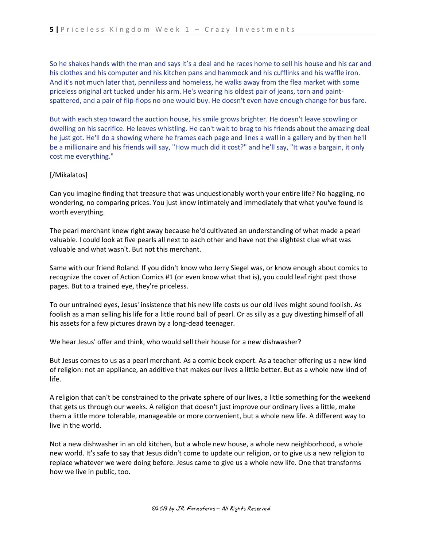So he shakes hands with the man and says it's a deal and he races home to sell his house and his car and his clothes and his computer and his kitchen pans and hammock and his cufflinks and his waffle iron. And it's not much later that, penniless and homeless, he walks away from the flea market with some priceless original art tucked under his arm. He's wearing his oldest pair of jeans, torn and paintspattered, and a pair of flip-flops no one would buy. He doesn't even have enough change for bus fare.

But with each step toward the auction house, his smile grows brighter. He doesn't leave scowling or dwelling on his sacrifice. He leaves whistling. He can't wait to brag to his friends about the amazing deal he just got. He'll do a showing where he frames each page and lines a wall in a gallery and by then he'll be a millionaire and his friends will say, "How much did it cost?" and he'll say, "It was a bargain, it only cost me everything."

### [/Mikalatos]

Can you imagine finding that treasure that was unquestionably worth your entire life? No haggling, no wondering, no comparing prices. You just know intimately and immediately that what you've found is worth everything.

The pearl merchant knew right away because he'd cultivated an understanding of what made a pearl valuable. I could look at five pearls all next to each other and have not the slightest clue what was valuable and what wasn't. But not this merchant.

Same with our friend Roland. If you didn't know who Jerry Siegel was, or know enough about comics to recognize the cover of Action Comics #1 (or even know what that is), you could leaf right past those pages. But to a trained eye, they're priceless.

To our untrained eyes, Jesus' insistence that his new life costs us our old lives might sound foolish. As foolish as a man selling his life for a little round ball of pearl. Or as silly as a guy divesting himself of all his assets for a few pictures drawn by a long-dead teenager.

We hear Jesus' offer and think, who would sell their house for a new dishwasher?

But Jesus comes to us as a pearl merchant. As a comic book expert. As a teacher offering us a new kind of religion: not an appliance, an additive that makes our lives a little better. But as a whole new kind of life.

A religion that can't be constrained to the private sphere of our lives, a little something for the weekend that gets us through our weeks. A religion that doesn't just improve our ordinary lives a little, make them a little more tolerable, manageable or more convenient, but a whole new life. A different way to live in the world.

Not a new dishwasher in an old kitchen, but a whole new house, a whole new neighborhood, a whole new world. It's safe to say that Jesus didn't come to update our religion, or to give us a new religion to replace whatever we were doing before. Jesus came to give us a whole new life. One that transforms how we live in public, too.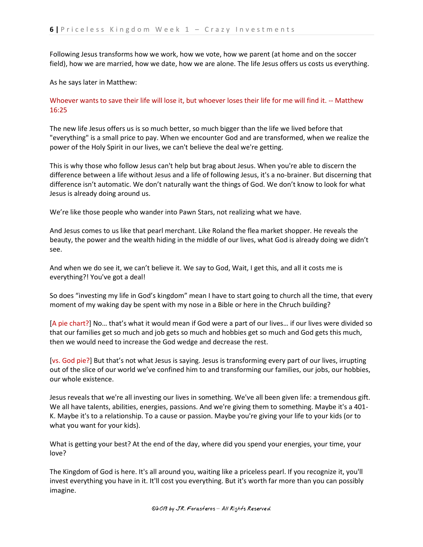Following Jesus transforms how we work, how we vote, how we parent (at home and on the soccer field), how we are married, how we date, how we are alone. The life Jesus offers us costs us everything.

As he says later in Matthew:

# Whoever wants to save their life will lose it, but whoever loses their life for me will find it. -- Matthew 16:25

The new life Jesus offers us is so much better, so much bigger than the life we lived before that "everything" is a small price to pay. When we encounter God and are transformed, when we realize the power of the Holy Spirit in our lives, we can't believe the deal we're getting.

This is why those who follow Jesus can't help but brag about Jesus. When you're able to discern the difference between a life without Jesus and a life of following Jesus, it's a no-brainer. But discerning that difference isn't automatic. We don't naturally want the things of God. We don't know to look for what Jesus is already doing around us.

We're like those people who wander into Pawn Stars, not realizing what we have.

And Jesus comes to us like that pearl merchant. Like Roland the flea market shopper. He reveals the beauty, the power and the wealth hiding in the middle of our lives, what God is already doing we didn't see.

And when we do see it, we can't believe it. We say to God, Wait, I get this, and all it costs me is everything?! You've got a deal!

So does "investing my life in God's kingdom" mean I have to start going to church all the time, that every moment of my waking day be spent with my nose in a Bible or here in the Chruch building?

[A pie chart?] No… that's what it would mean if God were a part of our lives… if our lives were divided so that our families get so much and job gets so much and hobbies get so much and God gets this much, then we would need to increase the God wedge and decrease the rest.

[vs. God pie?] But that's not what Jesus is saying. Jesus is transforming every part of our lives, irrupting out of the slice of our world we've confined him to and transforming our families, our jobs, our hobbies, our whole existence.

Jesus reveals that we're all investing our lives in something. We've all been given life: a tremendous gift. We all have talents, abilities, energies, passions. And we're giving them to something. Maybe it's a 401- K. Maybe it's to a relationship. To a cause or passion. Maybe you're giving your life to your kids (or to what you want for your kids).

What is getting your best? At the end of the day, where did you spend your energies, your time, your love?

The Kingdom of God is here. It's all around you, waiting like a priceless pearl. If you recognize it, you'll invest everything you have in it. It'll cost you everything. But it's worth far more than you can possibly imagine.